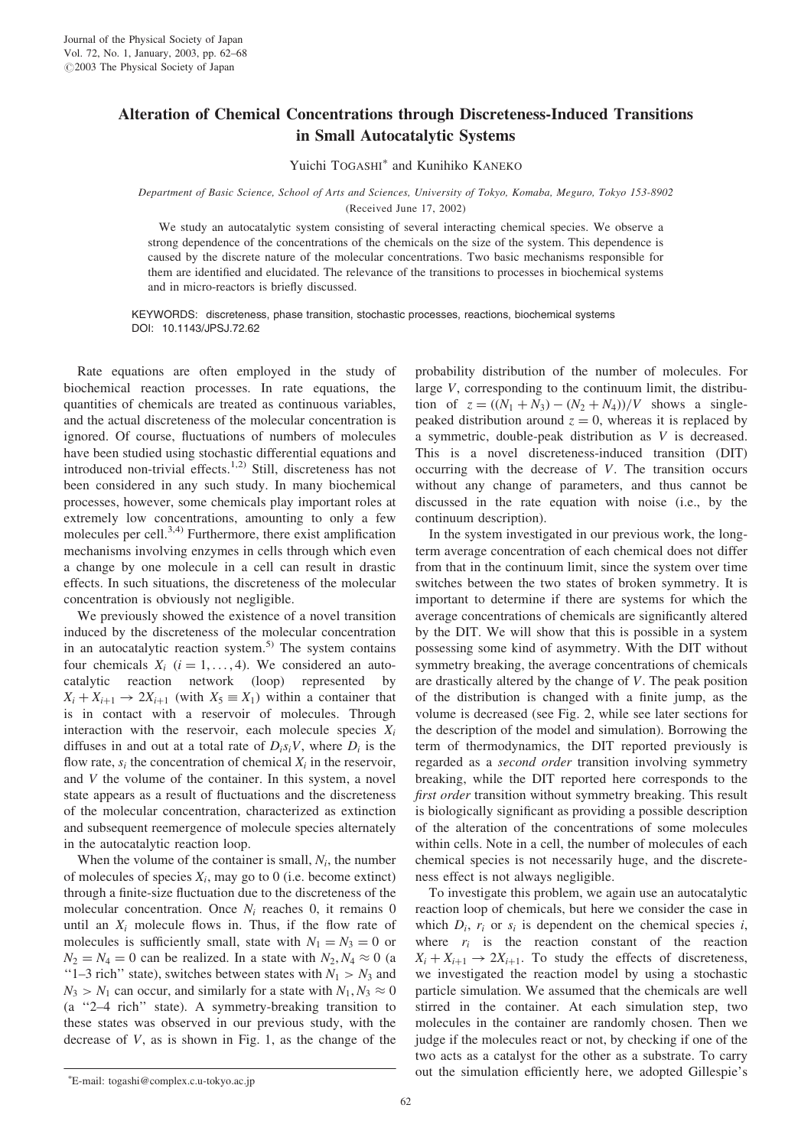# Alteration of Chemical Concentrations through Discreteness-Induced Transitions in Small Autocatalytic Systems

Yuichi TOGASHI<sup>\*</sup> and Kunihiko KANEKO

## Department of Basic Science, School of Arts and Sciences, University of Tokyo, Komaba, Meguro, Tokyo 153-8902 (Received June 17, 2002)

We study an autocatalytic system consisting of several interacting chemical species. We observe a strong dependence of the concentrations of the chemicals on the size of the system. This dependence is caused by the discrete nature of the molecular concentrations. Two basic mechanisms responsible for them are identified and elucidated. The relevance of the transitions to processes in biochemical systems and in micro-reactors is briefly discussed.

KEYWORDS: discreteness, phase transition, stochastic processes, reactions, biochemical systems DOI: 10.1143/JPSJ.72.62

Rate equations are often employed in the study of biochemical reaction processes. In rate equations, the quantities of chemicals are treated as continuous variables, and the actual discreteness of the molecular concentration is ignored. Of course, fluctuations of numbers of molecules have been studied using stochastic differential equations and introduced non-trivial effects.<sup>1,2)</sup> Still, discreteness has not been considered in any such study. In many biochemical processes, however, some chemicals play important roles at extremely low concentrations, amounting to only a few molecules per cell.<sup>3,4)</sup> Furthermore, there exist amplification mechanisms involving enzymes in cells through which even a change by one molecule in a cell can result in drastic effects. In such situations, the discreteness of the molecular concentration is obviously not negligible.

We previously showed the existence of a novel transition induced by the discreteness of the molecular concentration in an autocatalytic reaction system.<sup>5)</sup> The system contains four chemicals  $X_i$  ( $i = 1, \ldots, 4$ ). We considered an autocatalytic reaction network (loop) represented by  $X_i + X_{i+1} \rightarrow 2X_{i+1}$  (with  $X_5 \equiv X_1$ ) within a container that is in contact with a reservoir of molecules. Through interaction with the reservoir, each molecule species  $X_i$ diffuses in and out at a total rate of  $D_i s_i V$ , where  $D_i$  is the flow rate,  $s_i$  the concentration of chemical  $X_i$  in the reservoir, and V the volume of the container. In this system, a novel state appears as a result of fluctuations and the discreteness of the molecular concentration, characterized as extinction and subsequent reemergence of molecule species alternately in the autocatalytic reaction loop.

When the volume of the container is small,  $N_i$ , the number of molecules of species  $X_i$ , may go to 0 (i.e. become extinct) through a finite-size fluctuation due to the discreteness of the molecular concentration. Once  $N_i$  reaches 0, it remains 0 until an  $X_i$  molecule flows in. Thus, if the flow rate of molecules is sufficiently small, state with  $N_1 = N_3 = 0$  or  $N_2 = N_4 = 0$  can be realized. In a state with  $N_2, N_4 \approx 0$  (a "1–3 rich" state), switches between states with  $N_1 > N_3$  and  $N_3 > N_1$  can occur, and similarly for a state with  $N_1, N_3 \approx 0$ (a ''2–4 rich'' state). A symmetry-breaking transition to these states was observed in our previous study, with the decrease of  $V$ , as is shown in Fig. 1, as the change of the

probability distribution of the number of molecules. For large V, corresponding to the continuum limit, the distribution of  $z = ((N_1 + N_3) - (N_2 + N_4))/V$  shows a singlepeaked distribution around  $z = 0$ , whereas it is replaced by a symmetric, double-peak distribution as V is decreased. This is a novel discreteness-induced transition (DIT) occurring with the decrease of V. The transition occurs without any change of parameters, and thus cannot be discussed in the rate equation with noise (i.e., by the continuum description).

In the system investigated in our previous work, the longterm average concentration of each chemical does not differ from that in the continuum limit, since the system over time switches between the two states of broken symmetry. It is important to determine if there are systems for which the average concentrations of chemicals are significantly altered by the DIT. We will show that this is possible in a system possessing some kind of asymmetry. With the DIT without symmetry breaking, the average concentrations of chemicals are drastically altered by the change of V. The peak position of the distribution is changed with a finite jump, as the volume is decreased (see Fig. 2, while see later sections for the description of the model and simulation). Borrowing the term of thermodynamics, the DIT reported previously is regarded as a *second order* transition involving symmetry breaking, while the DIT reported here corresponds to the first order transition without symmetry breaking. This result is biologically significant as providing a possible description of the alteration of the concentrations of some molecules within cells. Note in a cell, the number of molecules of each chemical species is not necessarily huge, and the discreteness effect is not always negligible.

To investigate this problem, we again use an autocatalytic reaction loop of chemicals, but here we consider the case in which  $D_i$ ,  $r_i$  or  $s_i$  is dependent on the chemical species i, where  $r_i$  is the reaction constant of the reaction  $X_i + X_{i+1} \rightarrow 2X_{i+1}$ . To study the effects of discreteness, we investigated the reaction model by using a stochastic particle simulation. We assumed that the chemicals are well stirred in the container. At each simulation step, two molecules in the container are randomly chosen. Then we judge if the molecules react or not, by checking if one of the two acts as a catalyst for the other as a substrate. To carry out the simulation efficiently here, we adopted Gillespie's

E-mail: togashi@complex.c.u-tokyo.ac.jp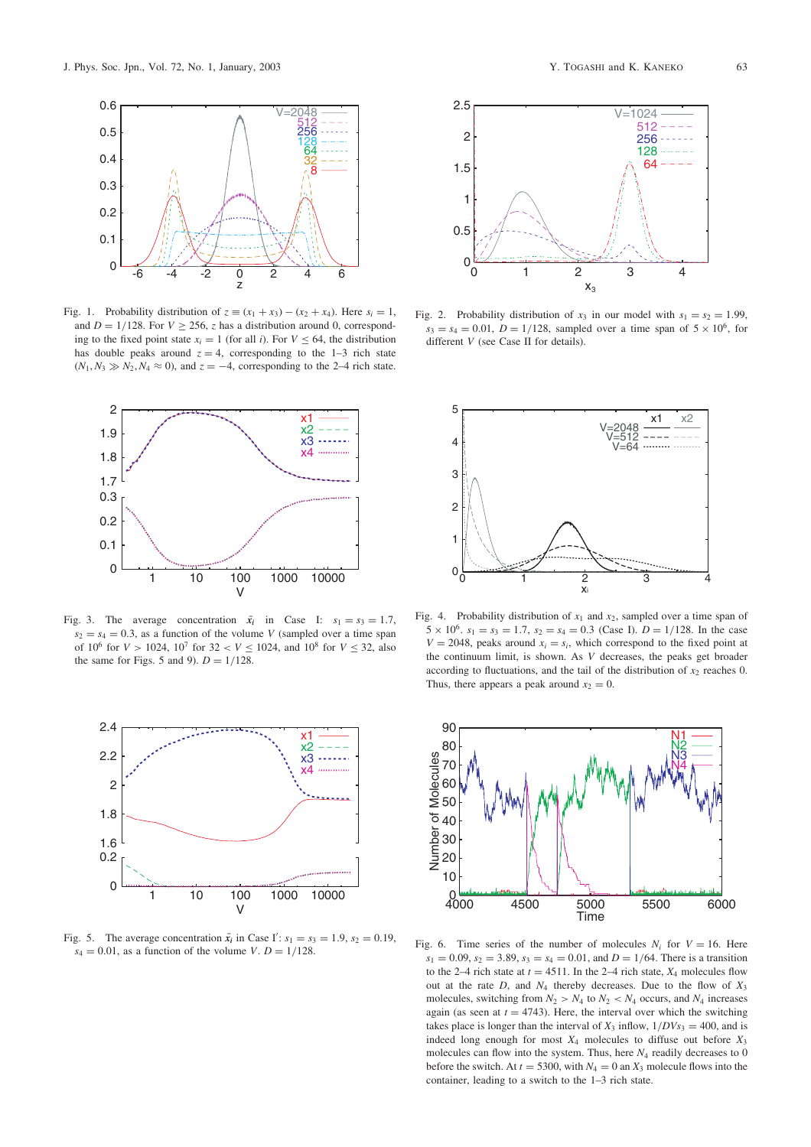

Fig. 1. Probability distribution of  $z \equiv (x_1 + x_3) - (x_2 + x_4)$ . Here  $s_i = 1$ , and  $D = 1/128$ . For  $V > 256$ , z has a distribution around 0, corresponding to the fixed point state  $x_i = 1$  (for all i). For  $V \le 64$ , the distribution has double peaks around  $z = 4$ , corresponding to the 1–3 rich state  $(N_1, N_3 \gg N_2, N_4 \approx 0)$ , and  $z = -4$ , corresponding to the 2–4 rich state.



Fig. 3. The average concentration  $\bar{x}_i$  in Case I:  $s_1 = s_3 = 1.7$ ,  $s_2 = s_4 = 0.3$ , as a function of the volume V (sampled over a time span of 10<sup>6</sup> for  $V > 1024$ , 10<sup>7</sup> for 32 <  $V \le 1024$ , and 10<sup>8</sup> for  $V \le 32$ , also the same for Figs. 5 and 9).  $D = 1/128$ .

![](_page_1_Figure_5.jpeg)

Fig. 5. The average concentration  $\bar{x}_i$  in Case I':  $s_1 = s_3 = 1.9$ ,  $s_2 = 0.19$ ,  $s_4 = 0.01$ , as a function of the volume V.  $D = 1/128$ .

![](_page_1_Figure_9.jpeg)

Fig. 2. Probability distribution of  $x_3$  in our model with  $s_1 = s_2 = 1.99$ ,  $s_3 = s_4 = 0.01, D = 1/128$ , sampled over a time span of  $5 \times 10^6$ , for different V (see Case II for details).

![](_page_1_Figure_11.jpeg)

Fig. 4. Probability distribution of  $x_1$  and  $x_2$ , sampled over a time span of  $5 \times 10^6$ .  $s_1 = s_3 = 1.7$ ,  $s_2 = s_4 = 0.3$  (Case I).  $D = 1/128$ . In the case  $V = 2048$ , peaks around  $x_i = s_i$ , which correspond to the fixed point at the continuum limit, is shown. As V decreases, the peaks get broader according to fluctuations, and the tail of the distribution of  $x_2$  reaches 0. Thus, there appears a peak around  $x_2 = 0$ .

![](_page_1_Figure_13.jpeg)

Fig. 6. Time series of the number of molecules  $N_i$  for  $V = 16$ . Here  $s_1 = 0.09$ ,  $s_2 = 3.89$ ,  $s_3 = s_4 = 0.01$ , and  $D = 1/64$ . There is a transition to the 2–4 rich state at  $t = 4511$ . In the 2–4 rich state,  $X_4$  molecules flow out at the rate  $D$ , and  $N_4$  thereby decreases. Due to the flow of  $X_3$ molecules, switching from  $N_2 > N_4$  to  $N_2 < N_4$  occurs, and  $N_4$  increases again (as seen at  $t = 4743$ ). Here, the interval over which the switching takes place is longer than the interval of  $X_3$  inflow,  $1/DV_{33} = 400$ , and is indeed long enough for most  $X_4$  molecules to diffuse out before  $X_3$ molecules can flow into the system. Thus, here  $N_4$  readily decreases to 0 before the switch. At  $t = 5300$ , with  $N_4 = 0$  an  $X_3$  molecule flows into the container, leading to a switch to the 1–3 rich state.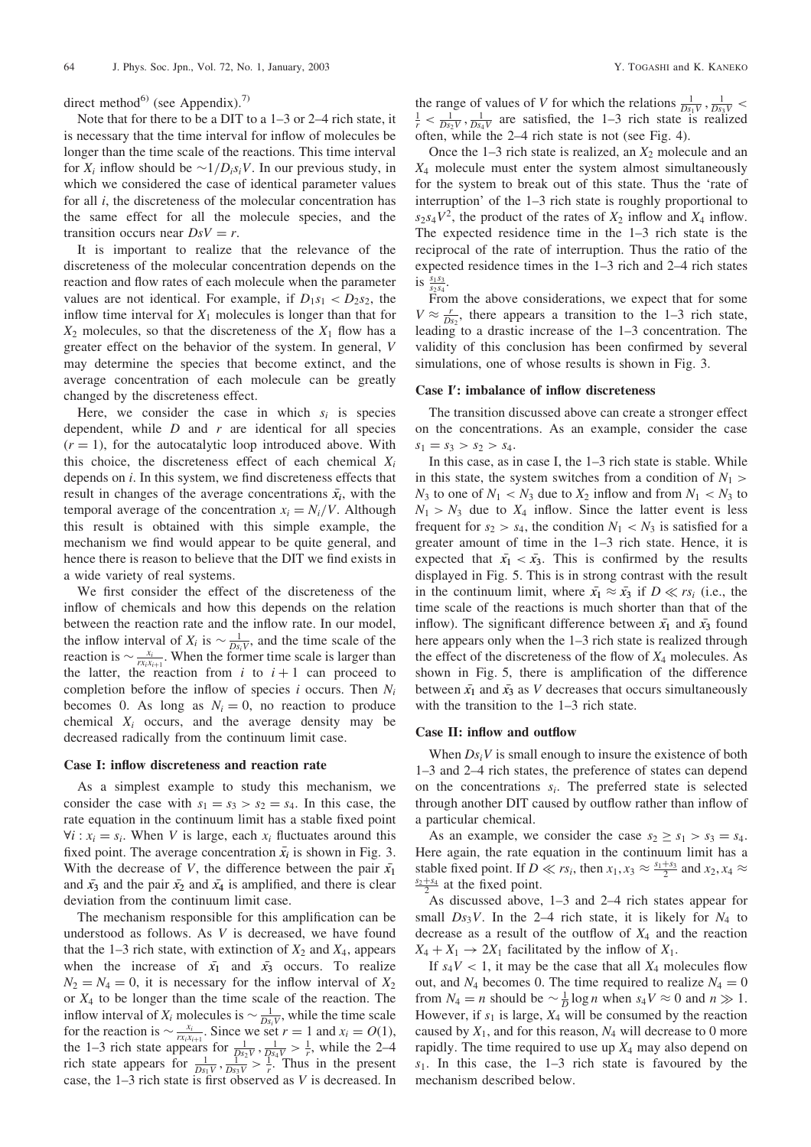direct method<sup>6)</sup> (see Appendix).<sup>7)</sup>

Note that for there to be a DIT to a 1–3 or 2–4 rich state, it is necessary that the time interval for inflow of molecules be longer than the time scale of the reactions. This time interval for  $X_i$  inflow should be  $\sim 1/D_i s_iV$ . In our previous study, in which we considered the case of identical parameter values for all  $i$ , the discreteness of the molecular concentration has the same effect for all the molecule species, and the transition occurs near  $DsV = r$ .

It is important to realize that the relevance of the discreteness of the molecular concentration depends on the reaction and flow rates of each molecule when the parameter values are not identical. For example, if  $D_1s_1 < D_2s_2$ , the inflow time interval for  $X_1$  molecules is longer than that for  $X_2$  molecules, so that the discreteness of the  $X_1$  flow has a greater effect on the behavior of the system. In general, V may determine the species that become extinct, and the average concentration of each molecule can be greatly changed by the discreteness effect.

Here, we consider the case in which  $s_i$  is species dependent, while  $D$  and  $r$  are identical for all species  $(r = 1)$ , for the autocatalytic loop introduced above. With this choice, the discreteness effect of each chemical  $X_i$ depends on i. In this system, we find discreteness effects that result in changes of the average concentrations  $\bar{x}_i$ , with the temporal average of the concentration  $x_i = N_i/V$ . Although this result is obtained with this simple example, the mechanism we find would appear to be quite general, and hence there is reason to believe that the DIT we find exists in a wide variety of real systems.

We first consider the effect of the discreteness of the inflow of chemicals and how this depends on the relation between the reaction rate and the inflow rate. In our model, the inflow interval of  $X_i$  is  $\sim \frac{1}{D_s}$ , and the time scale of the reaction is  $\sim \frac{x_i}{rx_i x_{i+1}}$ . When the former time scale is larger than the latter, the reaction from  $i$  to  $i + 1$  can proceed to completion before the inflow of species  $i$  occurs. Then  $N_i$ becomes 0. As long as  $N_i = 0$ , no reaction to produce chemical  $X_i$  occurs, and the average density may be decreased radically from the continuum limit case.

## Case I: inflow discreteness and reaction rate

As a simplest example to study this mechanism, we consider the case with  $s_1 = s_3 > s_2 = s_4$ . In this case, the rate equation in the continuum limit has a stable fixed point  $\forall i : x_i = s_i$ . When V is large, each  $x_i$  fluctuates around this fixed point. The average concentration  $\bar{x}_i$  is shown in Fig. 3. With the decrease of V, the difference between the pair  $\bar{x_1}$ and  $\bar{x}_3$  and the pair  $\bar{x}_2$  and  $\bar{x}_4$  is amplified, and there is clear deviation from the continuum limit case.

The mechanism responsible for this amplification can be understood as follows. As  $V$  is decreased, we have found that the 1–3 rich state, with extinction of  $X_2$  and  $X_4$ , appears when the increase of  $\bar{x_1}$  and  $\bar{x_3}$  occurs. To realize  $N_2 = N_4 = 0$ , it is necessary for the inflow interval of  $X_2$ or  $X_4$  to be longer than the time scale of the reaction. The inflow interval of  $X_i$  molecules is  $\sim \frac{1}{D_{S_i}V}$ , while the time scale for the reaction is  $\sim \frac{x_i}{rx_i x_{i+1}}$ . Since we set  $r = 1$  and  $x_i = O(1)$ , the 1–3 rich state appears for  $\frac{1}{p_{s_2}v}$ ,  $\frac{1}{p_{s_4}v} > \frac{1}{r}$ , while the 2–4 rich state appears for  $\frac{1}{Ds_1V}$ ,  $\frac{\overline{1}^{s_2}}{Ds_3V} > \frac{\overline{1}^{s_4}}{r}$ . Thus in the present case, the 1–3 rich state is first observed as V is decreased. In

the range of values of V for which the relations  $\frac{1}{Ds_1V}$ ,  $\frac{1}{Ds_3V}$  $\frac{1}{r} < \frac{1}{Ds_2V}$ ,  $\frac{1}{Ds_4V}$  are satisfied, the 1–3 rich state is realized often, while the 2–4 rich state is not (see Fig. 4).

Once the  $1-3$  rich state is realized, an  $X_2$  molecule and an  $X_4$  molecule must enter the system almost simultaneously for the system to break out of this state. Thus the 'rate of interruption' of the 1–3 rich state is roughly proportional to  $s_2s_4V^2$ , the product of the rates of  $X_2$  inflow and  $X_4$  inflow. The expected residence time in the 1–3 rich state is the reciprocal of the rate of interruption. Thus the ratio of the expected residence times in the 1–3 rich and 2–4 rich states is  $\frac{s_1 s_3}{s_2 s_4}$ .

From the above considerations, we expect that for some  $V \approx \frac{r}{Ds_2}$ , there appears a transition to the 1–3 rich state, leading to a drastic increase of the 1–3 concentration. The validity of this conclusion has been confirmed by several simulations, one of whose results is shown in Fig. 3.

## Case I': imbalance of inflow discreteness

The transition discussed above can create a stronger effect on the concentrations. As an example, consider the case  $s_1 = s_3 > s_2 > s_4.$ 

In this case, as in case I, the 1–3 rich state is stable. While in this state, the system switches from a condition of  $N_1 >$  $N_3$  to one of  $N_1 < N_3$  due to  $X_2$  inflow and from  $N_1 < N_3$  to  $N_1 > N_3$  due to  $X_4$  inflow. Since the latter event is less frequent for  $s_2 > s_4$ , the condition  $N_1 < N_3$  is satisfied for a greater amount of time in the 1–3 rich state. Hence, it is expected that  $x_1 < x_3$ . This is confirmed by the results displayed in Fig. 5. This is in strong contrast with the result in the continuum limit, where  $\bar{x_1} \approx \bar{x_3}$  if  $D \ll rs_i$  (i.e., the time scale of the reactions is much shorter than that of the inflow). The significant difference between  $\bar{x_1}$  and  $\bar{x_3}$  found here appears only when the 1–3 rich state is realized through the effect of the discreteness of the flow of  $X_4$  molecules. As shown in Fig. 5, there is amplification of the difference between  $\bar{x_1}$  and  $\bar{x_3}$  as V decreases that occurs simultaneously with the transition to the 1–3 rich state.

#### Case II: inflow and outflow

When  $Ds_iV$  is small enough to insure the existence of both 1–3 and 2–4 rich states, the preference of states can depend on the concentrations  $s_i$ . The preferred state is selected through another DIT caused by outflow rather than inflow of a particular chemical.

As an example, we consider the case  $s_2 \geq s_1 > s_3 = s_4$ . Here again, the rate equation in the continuum limit has a stable fixed point. If  $D \ll rs_i$ , then  $x_1, x_3 \approx \frac{s_1+s_3}{2}$  and  $x_2, x_4 \approx \frac{s_2+s_4}{2}$  at the fixed point  $\frac{s_2+s_4}{2}$  at the fixed point.

As discussed above, 1–3 and 2–4 rich states appear for small  $Ds_3V$ . In the 2–4 rich state, it is likely for  $N_4$  to decrease as a result of the outflow of  $X_4$  and the reaction  $X_4 + X_1 \rightarrow 2X_1$  facilitated by the inflow of  $X_1$ .

If  $s_4V < 1$ , it may be the case that all  $X_4$  molecules flow out, and  $N_4$  becomes 0. The time required to realize  $N_4 = 0$ from  $N_4 = n$  should be  $\sim \frac{1}{D} \log n$  when  $s_4 V \approx 0$  and  $n \gg 1$ . However, if  $s_1$  is large,  $X_4$  will be consumed by the reaction caused by  $X_1$ , and for this reason,  $N_4$  will decrease to 0 more rapidly. The time required to use up  $X_4$  may also depend on  $s_1$ . In this case, the  $1-3$  rich state is favoured by the mechanism described below.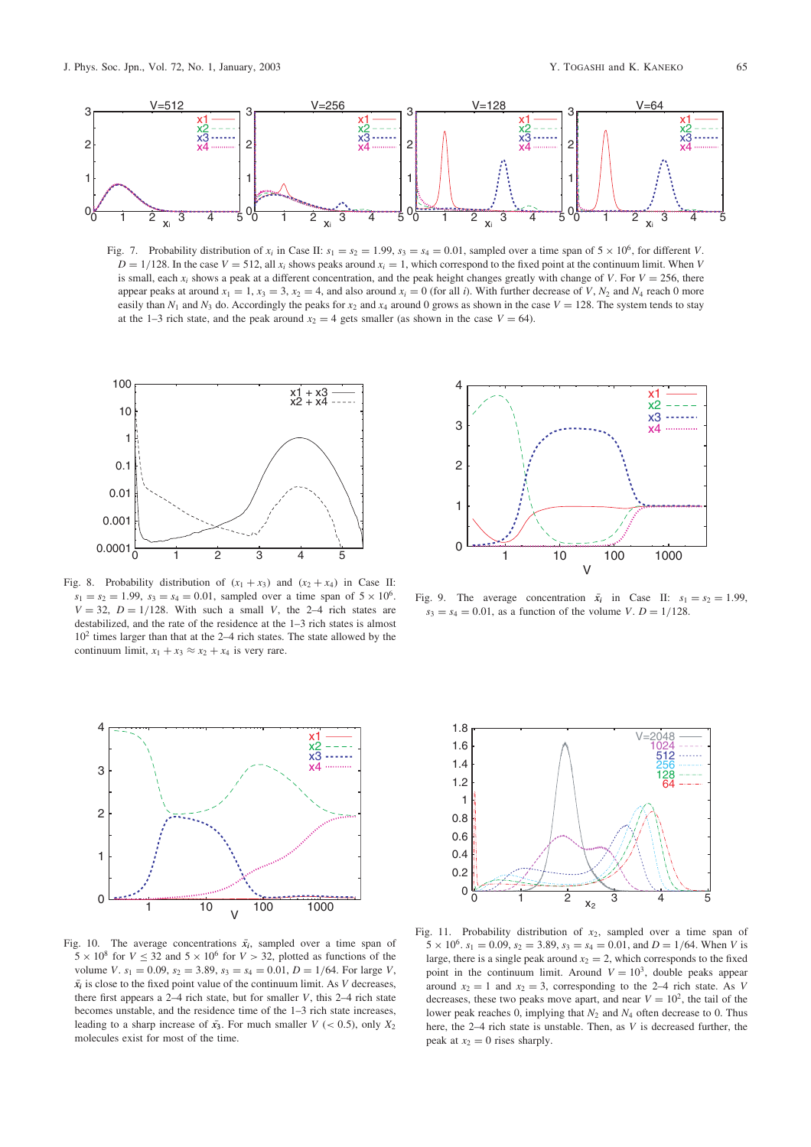![](_page_3_Figure_2.jpeg)

Fig. 7. Probability distribution of  $x_i$  in Case II:  $s_1 = s_2 = 1.99$ ,  $s_3 = s_4 = 0.01$ , sampled over a time span of  $5 \times 10^6$ , for different V.  $D = 1/128$ . In the case  $V = 512$ , all  $x_i$  shows peaks around  $x_i = 1$ , which correspond to the fixed point at the continuum limit. When V is small, each  $x_i$  shows a peak at a different concentration, and the peak height changes greatly with change of V. For  $V = 256$ , there appear peaks at around  $x_1 = 1$ ,  $x_3 = 3$ ,  $x_2 = 4$ , and also around  $x_i = 0$  (for all i). With further decrease of V, N<sub>2</sub> and N<sub>4</sub> reach 0 more easily than  $N_1$  and  $N_3$  do. Accordingly the peaks for  $x_2$  and  $x_4$  around 0 grows as shown in the case  $V = 128$ . The system tends to stay at the 1–3 rich state, and the peak around  $x_2 = 4$  gets smaller (as shown in the case  $V = 64$ ).

![](_page_3_Figure_4.jpeg)

Fig. 8. Probability distribution of  $(x_1 + x_3)$  and  $(x_2 + x_4)$  in Case II:  $s_1 = s_2 = 1.99$ ,  $s_3 = s_4 = 0.01$ , sampled over a time span of  $5 \times 10^6$ .  $V = 32$ ,  $D = 1/128$ . With such a small V, the 2–4 rich states are destabilized, and the rate of the residence at the 1–3 rich states is almost  $10<sup>2</sup>$  times larger than that at the 2–4 rich states. The state allowed by the continuum limit,  $x_1 + x_3 \approx x_2 + x_4$  is very rare.

![](_page_3_Figure_6.jpeg)

Fig. 10. The average concentrations  $\bar{x}_i$ , sampled over a time span of  $5 \times 10^8$  for  $V \le 32$  and  $5 \times 10^6$  for  $V > 32$ , plotted as functions of the volume V.  $s_1 = 0.09$ ,  $s_2 = 3.89$ ,  $s_3 = s_4 = 0.01$ ,  $D = 1/64$ . For large V,  $\bar{x}_i$  is close to the fixed point value of the continuum limit. As V decreases, there first appears a  $2-4$  rich state, but for smaller V, this  $2-4$  rich state becomes unstable, and the residence time of the 1–3 rich state increases, leading to a sharp increase of  $\bar{x}_3$ . For much smaller  $V$  (< 0.5), only  $X_2$ molecules exist for most of the time.

![](_page_3_Figure_8.jpeg)

Fig. 9. The average concentration  $\bar{x}_i$  in Case II:  $s_1 = s_2 = 1.99$ ,  $s_3 = s_4 = 0.01$ , as a function of the volume V.  $D = 1/128$ .

![](_page_3_Figure_10.jpeg)

Fig. 11. Probability distribution of  $x_2$ , sampled over a time span of  $5 \times 10^6$ .  $s_1 = 0.09$ ,  $s_2 = 3.89$ ,  $s_3 = s_4 = 0.01$ , and  $D = 1/64$ . When V is large, there is a single peak around  $x_2 = 2$ , which corresponds to the fixed point in the continuum limit. Around  $V = 10<sup>3</sup>$ , double peaks appear around  $x_2 = 1$  and  $x_2 = 3$ , corresponding to the 2–4 rich state. As V decreases, these two peaks move apart, and near  $V = 10^2$ , the tail of the lower peak reaches 0, implying that  $N_2$  and  $N_4$  often decrease to 0. Thus here, the 2–4 rich state is unstable. Then, as V is decreased further, the peak at  $x_2 = 0$  rises sharply.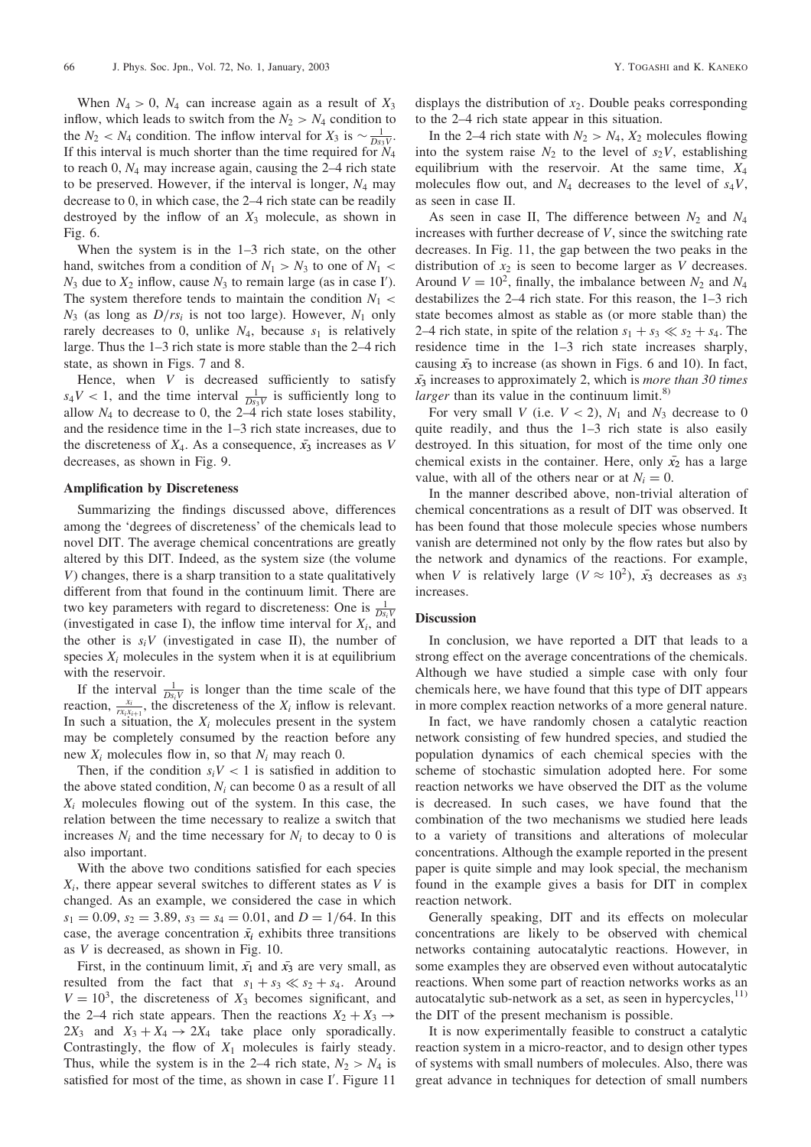When  $N_4 > 0$ ,  $N_4$  can increase again as a result of  $X_3$ inflow, which leads to switch from the  $N_2 > N_4$  condition to the  $N_2 < N_4$  condition. The inflow interval for  $X_3$  is  $\sim \frac{1}{D_{s_3}y}$ . If this interval is much shorter than the time required for  $N_4$ to reach  $0$ ,  $N_4$  may increase again, causing the 2–4 rich state to be preserved. However, if the interval is longer,  $N_4$  may decrease to 0, in which case, the 2–4 rich state can be readily destroyed by the inflow of an  $X_3$  molecule, as shown in Fig. 6.

When the system is in the 1–3 rich state, on the other hand, switches from a condition of  $N_1 > N_3$  to one of  $N_1$  <  $N_3$  due to  $X_2$  inflow, cause  $N_3$  to remain large (as in case I'). The system therefore tends to maintain the condition  $N_1$  <  $N_3$  (as long as  $D/rs_i$  is not too large). However,  $N_1$  only rarely decreases to 0, unlike  $N_4$ , because  $s_1$  is relatively large. Thus the 1–3 rich state is more stable than the 2–4 rich state, as shown in Figs. 7 and 8.

Hence, when  $V$  is decreased sufficiently to satisfy  $s_4V < 1$ , and the time interval  $\frac{1}{Ds_3V}$  is sufficiently long to allow  $N_4$  to decrease to 0, the 2–4 rich state loses stability, and the residence time in the 1–3 rich state increases, due to the discreteness of  $X_4$ . As a consequence,  $\bar{x}_3$  increases as V decreases, as shown in Fig. 9.

#### Amplification by Discreteness

Summarizing the findings discussed above, differences among the 'degrees of discreteness' of the chemicals lead to novel DIT. The average chemical concentrations are greatly altered by this DIT. Indeed, as the system size (the volume V) changes, there is a sharp transition to a state qualitatively different from that found in the continuum limit. There are two key parameters with regard to discreteness: One is  $\frac{1}{Ds_iV}$ (investigated in case I), the inflow time interval for  $X_i$ , and the other is  $s_iV$  (investigated in case II), the number of species  $X_i$  molecules in the system when it is at equilibrium with the reservoir.

If the interval  $\frac{1}{Ds_iV}$  is longer than the time scale of the reaction,  $\frac{x_i}{rx_ix_{i+1}}$ , the discreteness of the  $X_i$  inflow is relevant. In such a situation, the  $X_i$  molecules present in the system may be completely consumed by the reaction before any new  $X_i$  molecules flow in, so that  $N_i$  may reach 0.

Then, if the condition  $s_iV < 1$  is satisfied in addition to the above stated condition,  $N_i$  can become 0 as a result of all  $X_i$  molecules flowing out of the system. In this case, the relation between the time necessary to realize a switch that increases  $N_i$  and the time necessary for  $N_i$  to decay to 0 is also important.

With the above two conditions satisfied for each species  $X_i$ , there appear several switches to different states as V is changed. As an example, we considered the case in which  $s_1 = 0.09$ ,  $s_2 = 3.89$ ,  $s_3 = s_4 = 0.01$ , and  $D = 1/64$ . In this case, the average concentration  $\bar{x}_i$  exhibits three transitions as V is decreased, as shown in Fig. 10.

First, in the continuum limit,  $\bar{x_1}$  and  $\bar{x_3}$  are very small, as resulted from the fact that  $s_1 + s_3 \ll s_2 + s_4$ . Around  $V = 10<sup>3</sup>$ , the discreteness of  $X<sub>3</sub>$  becomes significant, and the 2–4 rich state appears. Then the reactions  $X_2 + X_3 \rightarrow$  $2X_3$  and  $X_3 + X_4 \rightarrow 2X_4$  take place only sporadically. Contrastingly, the flow of  $X_1$  molecules is fairly steady. Thus, while the system is in the 2–4 rich state,  $N_2 > N_4$  is satisfied for most of the time, as shown in case I'. Figure 11

displays the distribution of  $x_2$ . Double peaks corresponding to the 2–4 rich state appear in this situation.

In the 2–4 rich state with  $N_2 > N_4$ ,  $X_2$  molecules flowing into the system raise  $N_2$  to the level of  $s_2V$ , establishing equilibrium with the reservoir. At the same time,  $X_4$ molecules flow out, and  $N_4$  decreases to the level of  $s_4V$ , as seen in case II.

As seen in case II, The difference between  $N_2$  and  $N_4$ increases with further decrease of V, since the switching rate decreases. In Fig. 11, the gap between the two peaks in the distribution of  $x_2$  is seen to become larger as V decreases. Around  $V = 10^2$ , finally, the imbalance between  $N_2$  and  $N_4$ destabilizes the 2–4 rich state. For this reason, the 1–3 rich state becomes almost as stable as (or more stable than) the 2–4 rich state, in spite of the relation  $s_1 + s_3 \ll s_2 + s_4$ . The residence time in the 1–3 rich state increases sharply, causing  $\bar{x}_3$  to increase (as shown in Figs. 6 and 10). In fact,  $\bar{x_3}$  increases to approximately 2, which is *more than 30 times* larger than its value in the continuum limit. $8$ )

For very small V (i.e.  $V < 2$ ),  $N_1$  and  $N_3$  decrease to 0 quite readily, and thus the 1–3 rich state is also easily destroyed. In this situation, for most of the time only one chemical exists in the container. Here, only  $\bar{x_2}$  has a large value, with all of the others near or at  $N_i = 0$ .

In the manner described above, non-trivial alteration of chemical concentrations as a result of DIT was observed. It has been found that those molecule species whose numbers vanish are determined not only by the flow rates but also by the network and dynamics of the reactions. For example, when V is relatively large ( $V \approx 10^2$ ),  $\bar{x}_3$  decreases as  $s_3$ increases.

### **Discussion**

In conclusion, we have reported a DIT that leads to a strong effect on the average concentrations of the chemicals. Although we have studied a simple case with only four chemicals here, we have found that this type of DIT appears in more complex reaction networks of a more general nature.

In fact, we have randomly chosen a catalytic reaction network consisting of few hundred species, and studied the population dynamics of each chemical species with the scheme of stochastic simulation adopted here. For some reaction networks we have observed the DIT as the volume is decreased. In such cases, we have found that the combination of the two mechanisms we studied here leads to a variety of transitions and alterations of molecular concentrations. Although the example reported in the present paper is quite simple and may look special, the mechanism found in the example gives a basis for DIT in complex reaction network.

Generally speaking, DIT and its effects on molecular concentrations are likely to be observed with chemical networks containing autocatalytic reactions. However, in some examples they are observed even without autocatalytic reactions. When some part of reaction networks works as an autocatalytic sub-network as a set, as seen in hypercycles, $^{11}$ ) the DIT of the present mechanism is possible.

It is now experimentally feasible to construct a catalytic reaction system in a micro-reactor, and to design other types of systems with small numbers of molecules. Also, there was great advance in techniques for detection of small numbers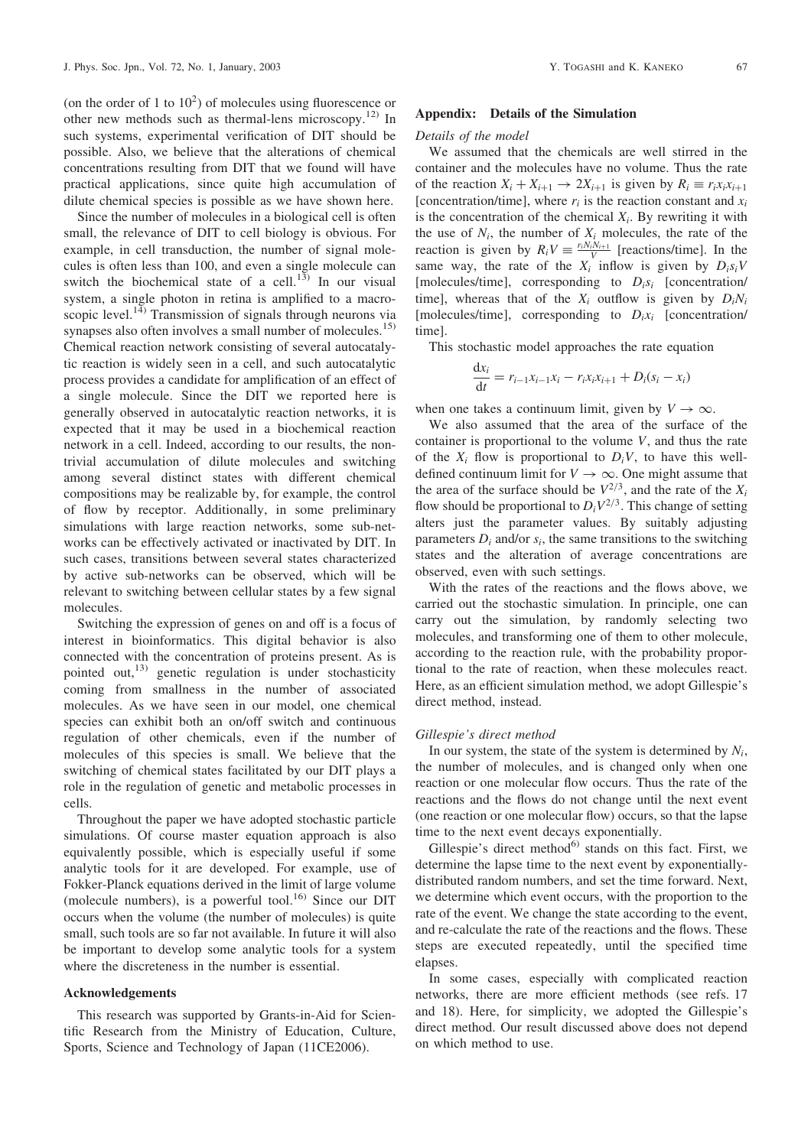(on the order of 1 to  $10<sup>2</sup>$ ) of molecules using fluorescence or other new methods such as thermal-lens microscopy.<sup>12)</sup> In such systems, experimental verification of DIT should be possible. Also, we believe that the alterations of chemical concentrations resulting from DIT that we found will have practical applications, since quite high accumulation of dilute chemical species is possible as we have shown here.

Since the number of molecules in a biological cell is often small, the relevance of DIT to cell biology is obvious. For example, in cell transduction, the number of signal molecules is often less than 100, and even a single molecule can switch the biochemical state of a cell.<sup>13)</sup> In our visual system, a single photon in retina is amplified to a macroscopic level. $^{14)}$  Transmission of signals through neurons via synapses also often involves a small number of molecules.<sup>15)</sup> Chemical reaction network consisting of several autocatalytic reaction is widely seen in a cell, and such autocatalytic process provides a candidate for amplification of an effect of a single molecule. Since the DIT we reported here is generally observed in autocatalytic reaction networks, it is expected that it may be used in a biochemical reaction network in a cell. Indeed, according to our results, the nontrivial accumulation of dilute molecules and switching among several distinct states with different chemical compositions may be realizable by, for example, the control of flow by receptor. Additionally, in some preliminary simulations with large reaction networks, some sub-networks can be effectively activated or inactivated by DIT. In such cases, transitions between several states characterized by active sub-networks can be observed, which will be relevant to switching between cellular states by a few signal molecules.

Switching the expression of genes on and off is a focus of interest in bioinformatics. This digital behavior is also connected with the concentration of proteins present. As is pointed out,13) genetic regulation is under stochasticity coming from smallness in the number of associated molecules. As we have seen in our model, one chemical species can exhibit both an on/off switch and continuous regulation of other chemicals, even if the number of molecules of this species is small. We believe that the switching of chemical states facilitated by our DIT plays a role in the regulation of genetic and metabolic processes in cells.

Throughout the paper we have adopted stochastic particle simulations. Of course master equation approach is also equivalently possible, which is especially useful if some analytic tools for it are developed. For example, use of Fokker-Planck equations derived in the limit of large volume (molecule numbers), is a powerful tool.<sup>16)</sup> Since our DIT occurs when the volume (the number of molecules) is quite small, such tools are so far not available. In future it will also be important to develop some analytic tools for a system where the discreteness in the number is essential.

#### Acknowledgements

This research was supported by Grants-in-Aid for Scientific Research from the Ministry of Education, Culture, Sports, Science and Technology of Japan (11CE2006).

### Appendix: Details of the Simulation

#### Details of the model

We assumed that the chemicals are well stirred in the container and the molecules have no volume. Thus the rate of the reaction  $X_i + X_{i+1} \rightarrow 2X_{i+1}$  is given by  $R_i \equiv r_i x_i x_{i+1}$ [concentration/time], where  $r_i$  is the reaction constant and  $x_i$ is the concentration of the chemical  $X_i$ . By rewriting it with the use of  $N_i$ , the number of  $X_i$  molecules, the rate of the reaction is given by  $R_i V \equiv \frac{r_i N_i N_{i+1}}{V}$  [reactions/time]. In the same way, the rate of the  $X_i$  inflow is given by  $D_i s_i V$ [molecules/time], corresponding to  $D_i s_i$  [concentration/ time], whereas that of the  $X_i$  outflow is given by  $D_iN_i$ [molecules/time], corresponding to  $D_i x_i$  [concentration/ time].

This stochastic model approaches the rate equation

$$
\frac{dx_i}{dt} = r_{i-1}x_{i-1}x_i - r_i x_i x_{i+1} + D_i(s_i - x_i)
$$

when one takes a continuum limit, given by  $V \to \infty$ .

We also assumed that the area of the surface of the container is proportional to the volume V, and thus the rate of the  $X_i$  flow is proportional to  $D_iV$ , to have this welldefined continuum limit for  $V \to \infty$ . One might assume that the area of the surface should be  $V^{2/3}$ , and the rate of the  $X_i$ flow should be proportional to  $D_iV^{2/3}$ . This change of setting alters just the parameter values. By suitably adjusting parameters  $D_i$  and/or  $s_i$ , the same transitions to the switching states and the alteration of average concentrations are observed, even with such settings.

With the rates of the reactions and the flows above, we carried out the stochastic simulation. In principle, one can carry out the simulation, by randomly selecting two molecules, and transforming one of them to other molecule, according to the reaction rule, with the probability proportional to the rate of reaction, when these molecules react. Here, as an efficient simulation method, we adopt Gillespie's direct method, instead.

#### Gillespie's direct method

In our system, the state of the system is determined by  $N_i$ , the number of molecules, and is changed only when one reaction or one molecular flow occurs. Thus the rate of the reactions and the flows do not change until the next event (one reaction or one molecular flow) occurs, so that the lapse time to the next event decays exponentially.

Gillespie's direct method $^{6)}$  stands on this fact. First, we determine the lapse time to the next event by exponentiallydistributed random numbers, and set the time forward. Next, we determine which event occurs, with the proportion to the rate of the event. We change the state according to the event, and re-calculate the rate of the reactions and the flows. These steps are executed repeatedly, until the specified time elapses.

In some cases, especially with complicated reaction networks, there are more efficient methods (see refs. 17 and 18). Here, for simplicity, we adopted the Gillespie's direct method. Our result discussed above does not depend on which method to use.